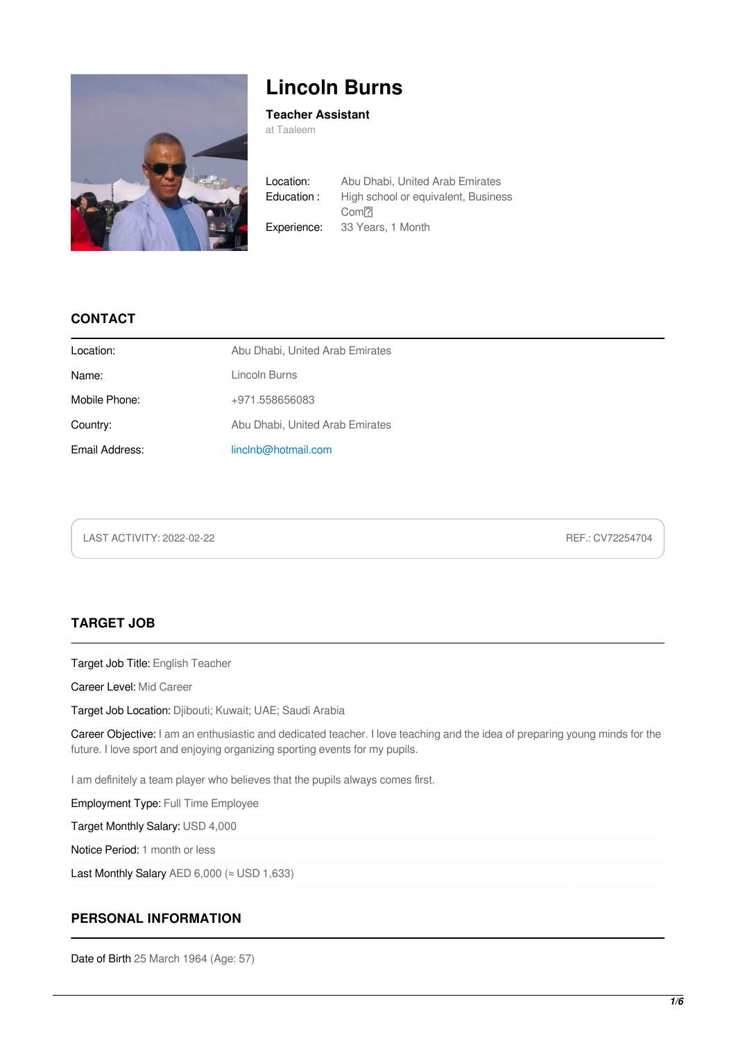

# **Lincoln Burns**

### **Teacher Assistant**

at Taaleem

Location: Abu Dhabi, United Arab Emirates Education : High school or equivalent, Business Com<sup>[7]</sup> Experience: 33 Years, 1 Month

## **CONTACT**

| Location:      | Abu Dhabi, United Arab Emirates |
|----------------|---------------------------------|
| Name:          | Lincoln Burns                   |
| Mobile Phone:  | +971.558656083                  |
| Country:       | Abu Dhabi, United Arab Emirates |
| Email Address: | linclnb@hotmail.com             |

LAST ACTIVITY: 2022-02-22 REF.: CV72254704

# **TARGET JOB**

| <b>Target Job Title: English Teacher</b>                                                                                                                                                                   |
|------------------------------------------------------------------------------------------------------------------------------------------------------------------------------------------------------------|
| Career Level: Mid Career                                                                                                                                                                                   |
| Target Job Location: Djibouti; Kuwait; UAE; Saudi Arabia                                                                                                                                                   |
| Career Objective: I am an enthusiastic and dedicated teacher. I love teaching and the idea of preparing young minds for the<br>future. I love sport and enjoying organizing sporting events for my pupils. |
| I am definitely a team player who believes that the pupils always comes first.                                                                                                                             |
| <b>Employment Type: Full Time Employee</b>                                                                                                                                                                 |
| Target Monthly Salary: USD 4,000                                                                                                                                                                           |
| Notice Period: 1 month or less                                                                                                                                                                             |
| Last Monthly Salary AED 6,000 ( $\approx$ USD 1,633)                                                                                                                                                       |
|                                                                                                                                                                                                            |
| BEBCANAL INFORMATION                                                                                                                                                                                       |

# **PERSONAL INFORMATION**

Date of Birth 25 March 1964 (Age: 57)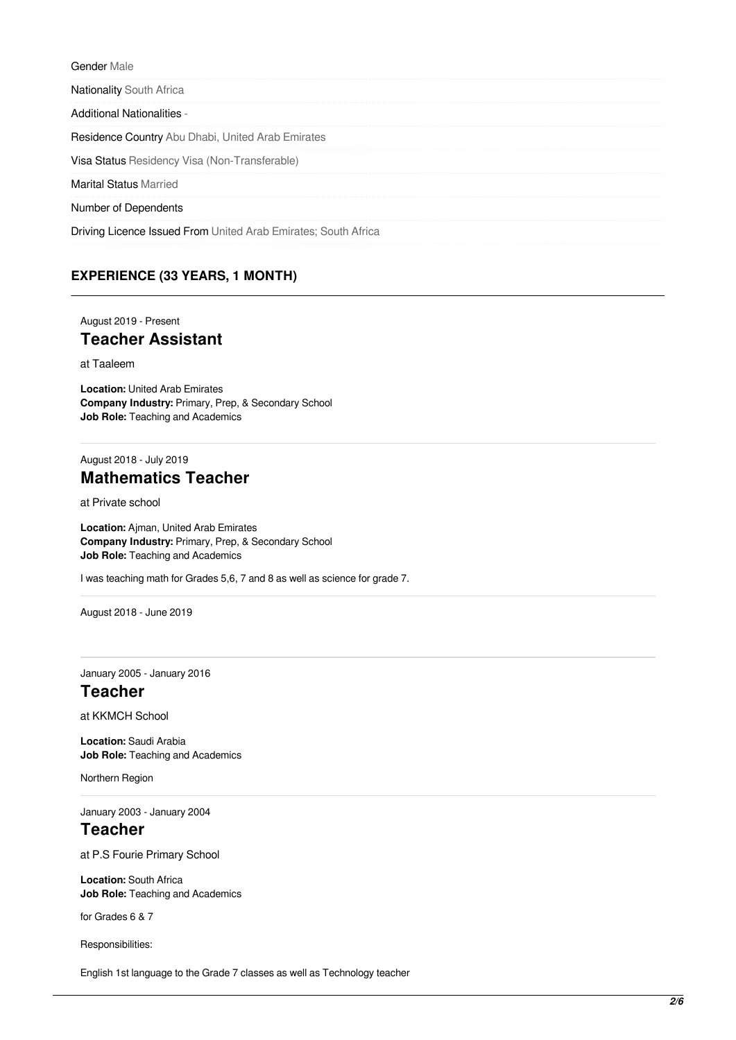Gender Male **Nationality South Africa** Additional Nationalities - Residence Country Abu Dhabi, United Arab Emirates Visa Status Residency Visa (Non-Transferable) Marital Status Married Number of Dependents Driving Licence Issued From United Arab Emirates; South Africa

## **EXPERIENCE (33 YEARS, 1 MONTH)**

August 2019 - Present

# **Teacher Assistant**

at Taaleem

**Location:** United Arab Emirates **Company Industry:** Primary, Prep, & Secondary School **Job Role:** Teaching and Academics

## August 2018 - July 2019 **Mathematics Teacher**

at Private school

**Location:** Ajman, United Arab Emirates **Company Industry:** Primary, Prep, & Secondary School **Job Role:** Teaching and Academics

I was teaching math for Grades 5,6, 7 and 8 as well as science for grade 7.

August 2018 - June 2019

January 2005 - January 2016

## **Teacher**

at KKMCH School

**Location:** Saudi Arabia **Job Role:** Teaching and Academics

Northern Region

January 2003 - January 2004

# **Teacher**

at P.S Fourie Primary School

**Location:** South Africa **Job Role:** Teaching and Academics

for Grades 6 & 7

Responsibilities:

English 1st language to the Grade 7 classes as well as Technology teacher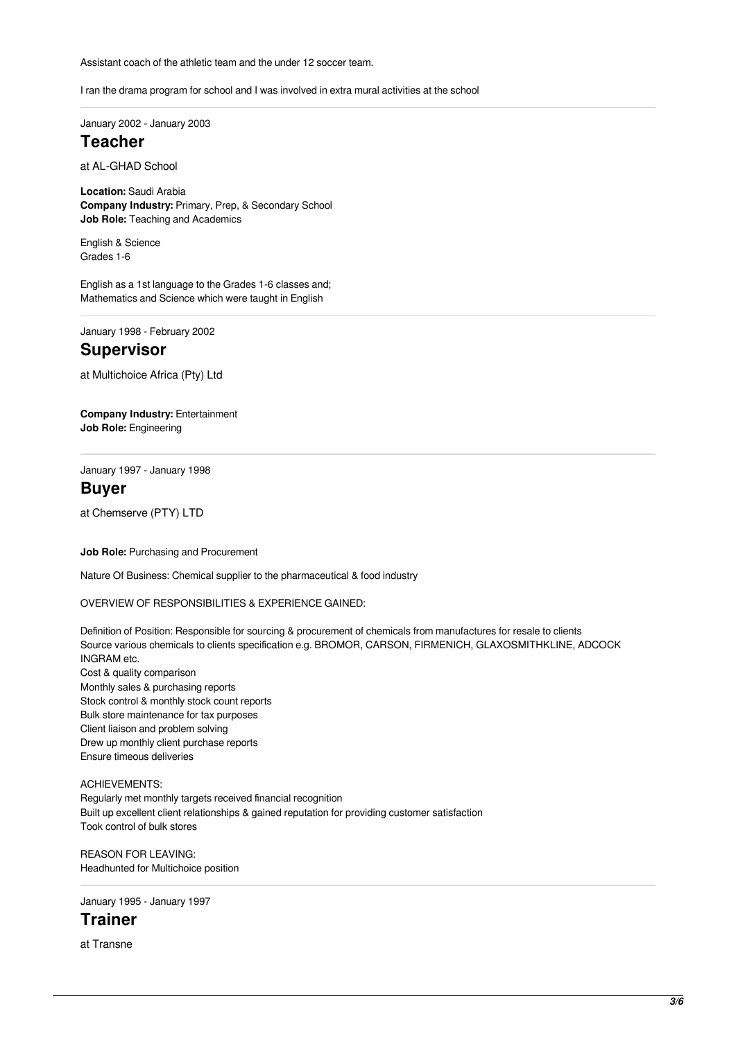Assistant coach of the athletic team and the under 12 soccer team.

I ran the drama program for school and I was involved in extra mural activities at the school

January 2002 - January 2003

# **Teacher**

at AL-GHAD School

**Location:** Saudi Arabia **Company Industry:** Primary, Prep, & Secondary School **Job Role:** Teaching and Academics

English & Science Grades 1-6

English as a 1st language to the Grades 1-6 classes and; Mathematics and Science which were taught in English

January 1998 - February 2002

# **Supervisor**

at Multichoice Africa (Pty) Ltd

**Company Industry:** Entertainment **Job Role:** Engineering

January 1997 - January 1998

#### **Buyer**

at Chemserve (PTY) LTD

**Job Role:** Purchasing and Procurement

Nature Of Business: Chemical supplier to the pharmaceutical & food industry

OVERVIEW OF RESPONSIBILITIES & EXPERIENCE GAINED:

Definition of Position: Responsible for sourcing & procurement of chemicals from manufactures for resale to clients Source various chemicals to clients specification e.g. BROMOR, CARSON, FIRMENICH, GLAXOSMITHKLINE, ADCOCK INGRAM etc. Cost & quality comparison Monthly sales & purchasing reports Stock control & monthly stock count reports Bulk store maintenance for tax purposes Client liaison and problem solving Drew up monthly client purchase reports Ensure timeous deliveries

ACHIEVEMENTS: Regularly met monthly targets received financial recognition Built up excellent client relationships & gained reputation for providing customer satisfaction Took control of bulk stores

REASON FOR LEAVING: Headhunted for Multichoice position

January 1995 - January 1997

**Trainer**

at Transne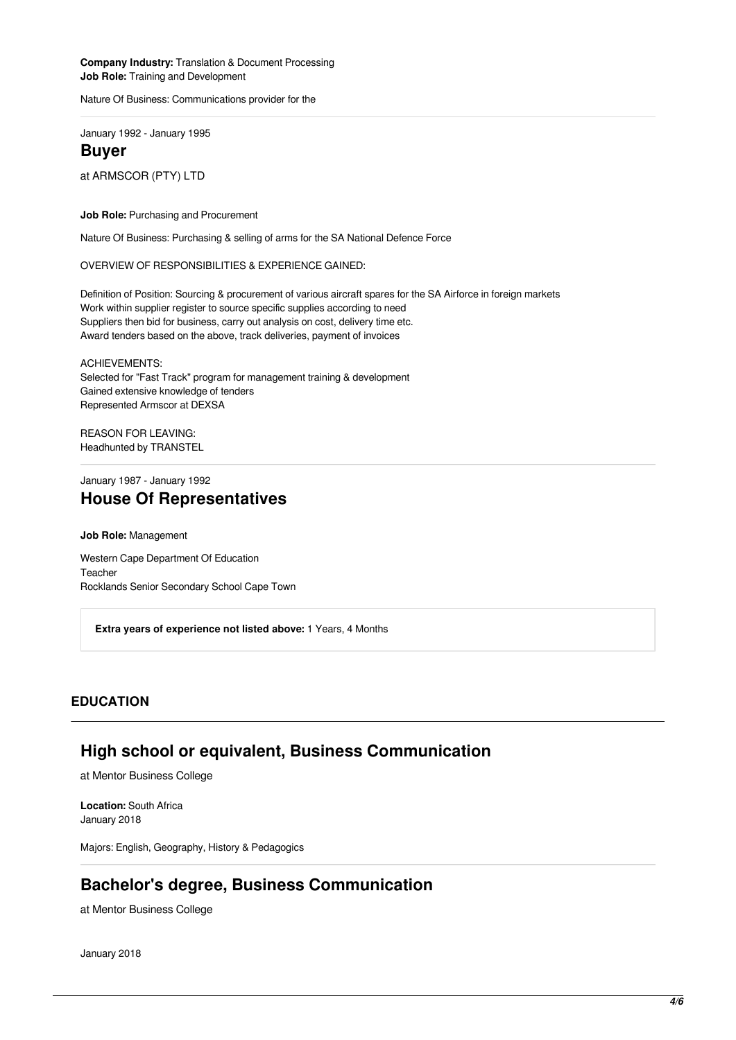**Company Industry:** Translation & Document Processing **Job Role:** Training and Development

Nature Of Business: Communications provider for the

January 1992 - January 1995

#### **Buyer**

at ARMSCOR (PTY) LTD

#### **Job Role:** Purchasing and Procurement

Nature Of Business: Purchasing & selling of arms for the SA National Defence Force

OVERVIEW OF RESPONSIBILITIES & EXPERIENCE GAINED:

Definition of Position: Sourcing & procurement of various aircraft spares for the SA Airforce in foreign markets Work within supplier register to source specific supplies according to need Suppliers then bid for business, carry out analysis on cost, delivery time etc. Award tenders based on the above, track deliveries, payment of invoices

ACHIEVEMENTS: Selected for "Fast Track" program for management training & development Gained extensive knowledge of tenders Represented Armscor at DEXSA

REASON FOR LEAVING: Headhunted by TRANSTEL

## January 1987 - January 1992 **House Of Representatives**

**Job Role:** Management

Western Cape Department Of Education Teacher Rocklands Senior Secondary School Cape Town

**Extra years of experience not listed above:** 1 Years, 4 Months

#### **EDUCATION**

## **High school or equivalent, Business Communication**

at Mentor Business College

**Location:** South Africa January 2018

Majors: English, Geography, History & Pedagogics

## **Bachelor's degree, Business Communication**

at Mentor Business College

January 2018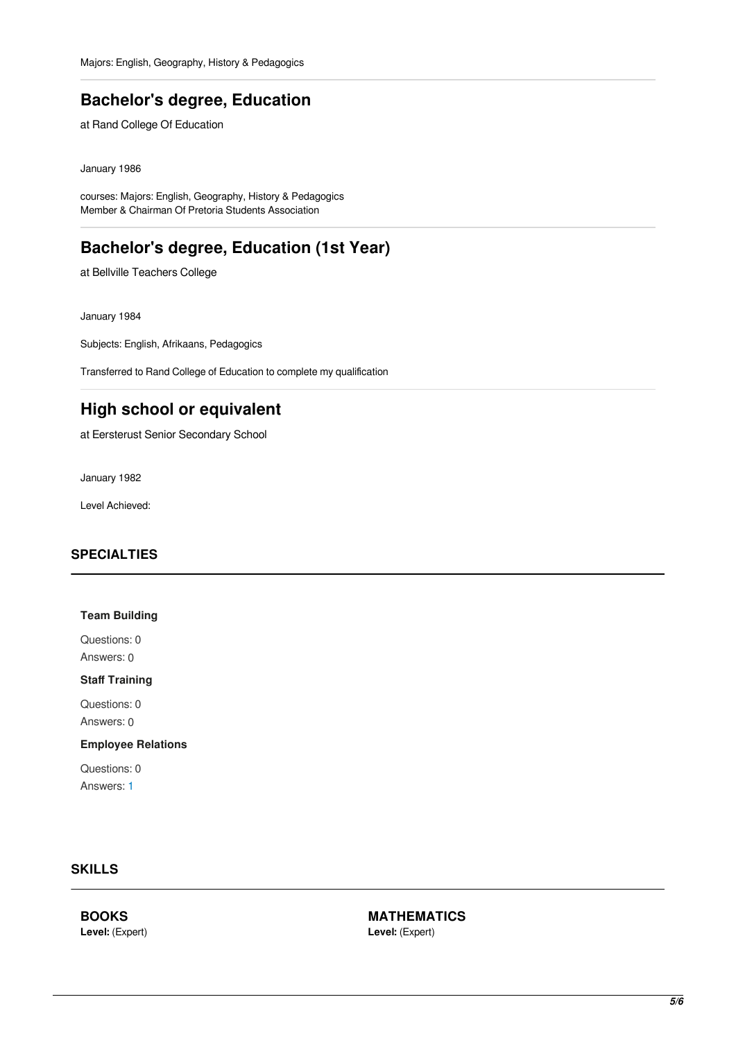# **Bachelor's degree, Education**

at Rand College Of Education

January 1986

courses: Majors: English, Geography, History & Pedagogics Member & Chairman Of Pretoria Students Association

# **Bachelor's degree, Education (1st Year)**

at Bellville Teachers College

January 1984

Subjects: English, Afrikaans, Pedagogics

Transferred to Rand College of Education to complete my qualification

# **High school or equivalent**

at Eersterust Senior Secondary School

January 1982

Level Achieved:

#### **SPECIALTIES**

#### **Team Building**

Questions: 0 Answers: 0

#### **Staff Training**

Questions: 0 Answers: 0

#### **Employee Relations**

Questions: 0 Answers: [1](http://people.bayt.com/lincoln-burns-63998323/?lang=en&tab_name=answers&tag_id_filter=8676)

## **SKILLS**

**BOOKS Level:** (Expert) **MATHEMATICS Level:** (Expert)